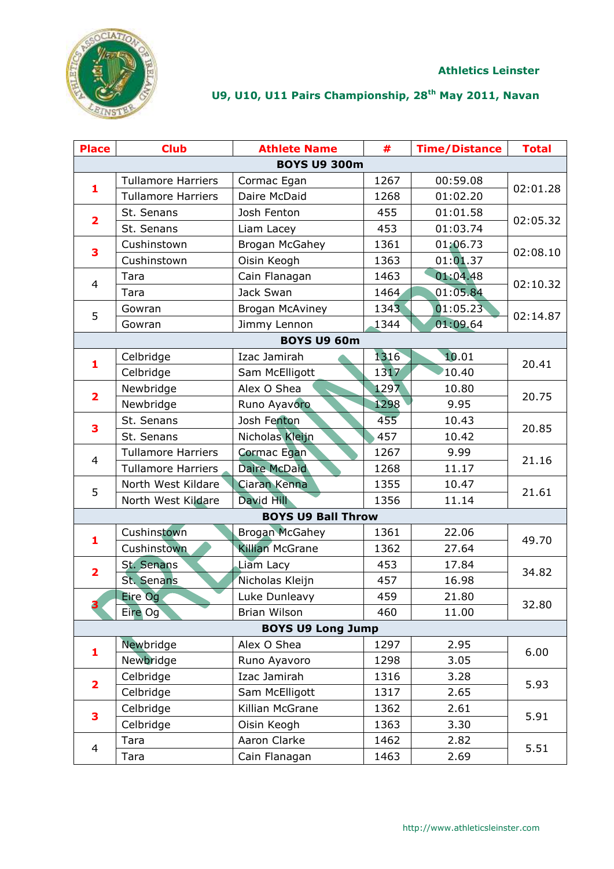

| <b>Place</b>            | <b>Club</b>               | <b>Athlete Name</b>       | #    | <b>Time/Distance</b> | <b>Total</b> |
|-------------------------|---------------------------|---------------------------|------|----------------------|--------------|
|                         |                           | <b>BOYS U9 300m</b>       |      |                      |              |
| 1                       | <b>Tullamore Harriers</b> | Cormac Egan               | 1267 | 00:59.08             |              |
|                         | <b>Tullamore Harriers</b> | Daire McDaid              | 1268 | 01:02.20             | 02:01.28     |
| $\overline{\mathbf{2}}$ | St. Senans                | Josh Fenton               | 455  | 01:01.58             |              |
|                         | St. Senans                | Liam Lacey                | 453  | 01:03.74             | 02:05.32     |
| 3                       | Cushinstown               | <b>Brogan McGahey</b>     | 1361 | 01:06.73             | 02:08.10     |
|                         | Cushinstown               | Oisin Keogh               | 1363 | 01:01.37             |              |
| $\overline{4}$          | Tara                      | Cain Flanagan             | 1463 | 01:04.48             | 02:10.32     |
|                         | Tara                      | Jack Swan                 | 1464 | 01:05.84             |              |
| 5                       | Gowran                    | <b>Brogan McAviney</b>    | 1343 | 01:05.23             | 02:14.87     |
|                         | Gowran                    | Jimmy Lennon              | 1344 | 01:09.64             |              |
|                         |                           | <b>BOYS U9 60m</b>        |      |                      |              |
| 1                       | Celbridge                 | Izac Jamirah              | 1316 | 10.01                | 20.41        |
|                         | Celbridge                 | Sam McElligott            | 1317 | 10.40                |              |
| 2                       | Newbridge                 | Alex O Shea               | 1297 | 10.80                | 20.75        |
|                         | Newbridge                 | Runo Ayavoro              | 1298 | 9.95                 |              |
| 3                       | St. Senans                | Josh Fenton               | 455  | 10.43                | 20.85        |
|                         | St. Senans                | Nicholas Kleijn           | 457  | 10.42                |              |
| $\overline{4}$          | <b>Tullamore Harriers</b> | Cormac Egan               | 1267 | 9.99                 | 21.16        |
|                         | <b>Tullamore Harriers</b> | <b>Daire McDaid</b>       | 1268 | 11.17                |              |
| 5                       | North West Kildare        | Ciaran Kenna              | 1355 | 10.47                | 21.61        |
|                         | North West Kildare        | David Hill                | 1356 | 11.14                |              |
|                         |                           | <b>BOYS U9 Ball Throw</b> |      |                      |              |
| 1                       | Cushinstown               | <b>Brogan McGahey</b>     | 1361 | 22.06                | 49.70        |
|                         | Cushinstown               | <b>Killian McGrane</b>    | 1362 | 27.64                |              |
| $\overline{\mathbf{2}}$ | St. Senans                | Liam Lacy                 | 453  | 17.84                | 34.82        |
|                         | St. Senans                | Nicholas Kleijn           | 457  | 16.98                |              |
| 3                       | Eire Og                   | Luke Dunleavy             | 459  | 21.80                | 32.80        |
|                         | Eire Og                   | Brian Wilson              | 460  | 11.00                |              |
|                         |                           | <b>BOYS U9 Long Jump</b>  |      |                      |              |
| 1                       | Newbridge                 | Alex O Shea               | 1297 | 2.95                 | 6.00         |
|                         | Newbridge                 | Runo Ayavoro              | 1298 | 3.05                 |              |
| $\overline{\mathbf{2}}$ | Celbridge                 | Izac Jamirah              | 1316 | 3.28                 | 5.93         |
|                         | Celbridge                 | Sam McElligott            | 1317 | 2.65                 |              |
| 3                       | Celbridge                 | Killian McGrane           | 1362 | 2.61                 | 5.91         |
|                         | Celbridge                 | Oisin Keogh               | 1363 | 3.30                 |              |
| $\overline{\mathbf{4}}$ | Tara                      | Aaron Clarke              | 1462 | 2.82                 | 5.51         |
|                         | Tara                      | Cain Flanagan             | 1463 | 2.69                 |              |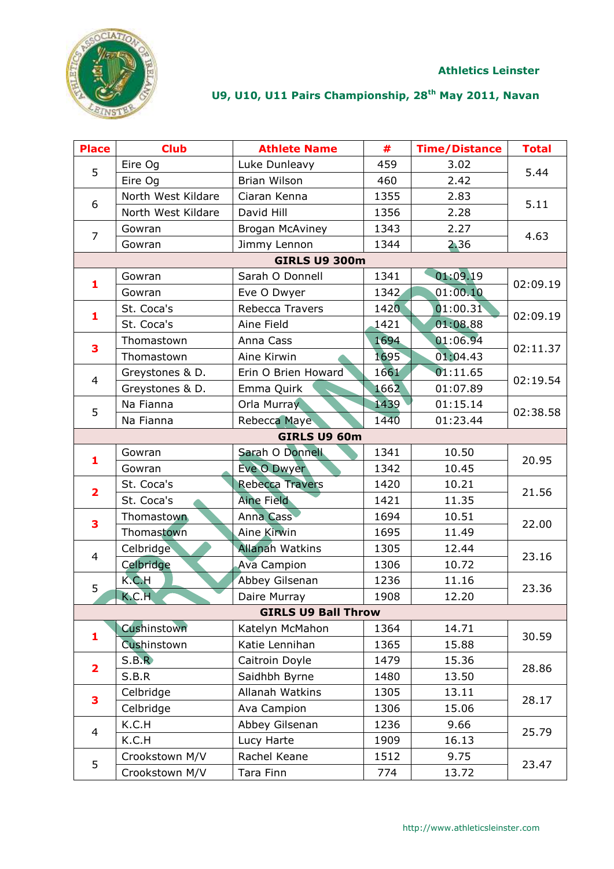

| <b>Place</b>             | <b>Club</b>        | <b>Athlete Name</b>        | #    | <b>Time/Distance</b> | <b>Total</b> |
|--------------------------|--------------------|----------------------------|------|----------------------|--------------|
| 5                        | Eire Og            | Luke Dunleavy              | 459  | 3.02                 | 5.44         |
|                          | Eire Og            | Brian Wilson               | 460  | 2.42                 |              |
| 6                        | North West Kildare | Ciaran Kenna               | 1355 | 2.83                 |              |
|                          | North West Kildare | David Hill                 | 1356 | 2.28                 | 5.11         |
| $\overline{7}$           | Gowran             | Brogan McAviney            | 1343 | 2.27                 | 4.63         |
|                          | Gowran             | Jimmy Lennon               | 1344 | 2.36                 |              |
|                          |                    | <b>GIRLS U9 300m</b>       |      |                      |              |
| $\mathbf{1}$             | Gowran             | Sarah O Donnell            | 1341 | 01:09.19             | 02:09.19     |
|                          | Gowran             | Eve O Dwyer                | 1342 | 01:00.10             |              |
| 1                        | St. Coca's         | Rebecca Travers            | 1420 | 01:00.31             | 02:09.19     |
|                          | St. Coca's         | Aine Field                 | 1421 | 01:08.88             |              |
| 3                        | Thomastown         | Anna Cass                  | 1694 | 01:06.94             | 02:11.37     |
|                          | Thomastown         | Aine Kirwin                | 1695 | 01:04.43             |              |
| $\overline{4}$           | Greystones & D.    | Erin O Brien Howard        | 1661 | 01:11.65             |              |
|                          | Greystones & D.    | Emma Quirk                 | 1662 | 01:07.89             | 02:19.54     |
| 5                        | Na Fianna          | Orla Murray                | 1439 | 01:15.14             | 02:38.58     |
|                          | Na Fianna          | Rebecca Maye               | 1440 | 01:23.44             |              |
|                          |                    | GIRLS U9 60m               |      |                      |              |
| 1                        | Gowran             | Sarah O Donnell            | 1341 | 10.50                | 20.95        |
|                          | Gowran             | Eve O Dwyer                | 1342 | 10.45                |              |
| $\overline{\mathbf{2}}$  | St. Coca's         | <b>Rebecca Travers</b>     | 1420 | 10.21                | 21.56        |
|                          | St. Coca's         | <b>Aine Field</b>          | 1421 | 11.35                |              |
| 3                        | Thomastown         | <b>Anna Cass</b>           | 1694 | 10.51                | 22.00        |
|                          | Thomastown         | Aine Kirwin                | 1695 | 11.49                |              |
| $\overline{4}$           | Celbridge          | <b>Allanah Watkins</b>     | 1305 | 12.44                | 23.16        |
|                          | Celbridge          | <b>Ava Campion</b>         | 1306 | 10.72                |              |
| 5                        | K.C.H              | Abbey Gilsenan             | 1236 | 11.16                | 23.36        |
|                          | K.C.H              | Daire Murray               | 1908 | 12.20                |              |
|                          |                    | <b>GIRLS U9 Ball Throw</b> |      |                      |              |
| 1                        | Cushinstown        | Katelyn McMahon            | 1364 | 14.71                | 30.59        |
|                          | Cushinstown        | Katie Lennihan             | 1365 | 15.88                |              |
| $\overline{\mathbf{2}}$  | S.B.R              | Caitroin Doyle             | 1479 | 15.36                | 28.86        |
|                          | S.B.R              | Saidhbh Byrne              | 1480 | 13.50                |              |
| 3                        | Celbridge          | Allanah Watkins            | 1305 | 13.11                | 28.17        |
|                          | Celbridge          | Ava Campion                | 1306 | 15.06                |              |
| $\overline{\mathcal{L}}$ | K.C.H              | Abbey Gilsenan             | 1236 | 9.66                 | 25.79        |
|                          | K.C.H              | Lucy Harte                 | 1909 | 16.13                |              |
| 5                        | Crookstown M/V     | Rachel Keane               | 1512 | 9.75                 |              |
|                          | Crookstown M/V     | Tara Finn                  | 774  | 13.72                | 23.47        |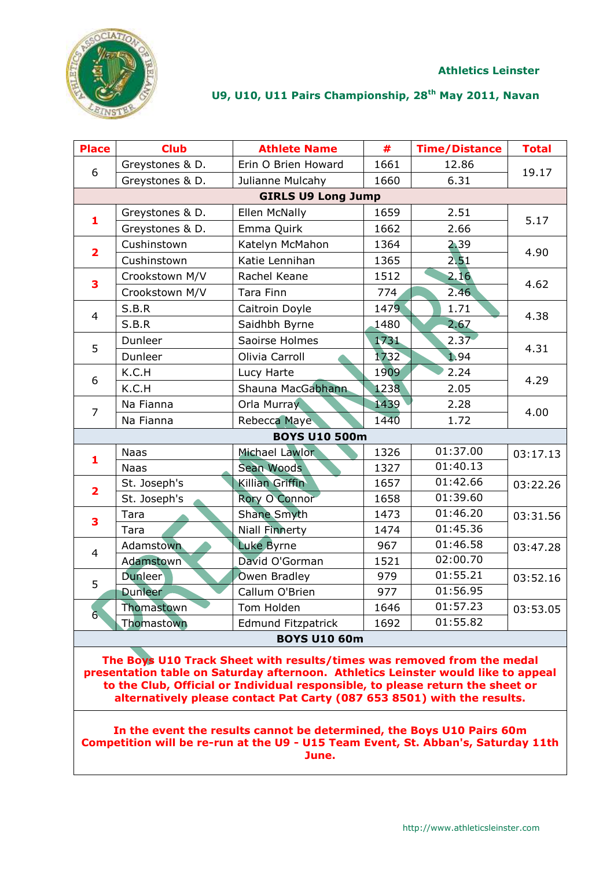

| <b>Place</b>            | <b>Club</b>     | <b>Athlete Name</b>       | #    | <b>Time/Distance</b> | <b>Total</b> |
|-------------------------|-----------------|---------------------------|------|----------------------|--------------|
| 6                       | Greystones & D. | Erin O Brien Howard       | 1661 | 12.86                | 19.17        |
|                         | Greystones & D. | Julianne Mulcahy          | 1660 | 6.31                 |              |
|                         |                 | <b>GIRLS U9 Long Jump</b> |      |                      |              |
| $\mathbf{1}$            | Greystones & D. | Ellen McNally             | 1659 | 2.51                 | 5.17         |
|                         | Greystones & D. | Emma Quirk                | 1662 | 2.66                 |              |
| $\overline{\mathbf{2}}$ | Cushinstown     | Katelyn McMahon           | 1364 | 2.39                 | 4.90         |
|                         | Cushinstown     | Katie Lennihan            | 1365 | 2.51                 |              |
| 3                       | Crookstown M/V  | Rachel Keane              | 1512 | 2.16                 | 4.62         |
|                         | Crookstown M/V  | Tara Finn                 | 774  | 2.46                 |              |
| $\overline{4}$          | S.B.R           | Caitroin Doyle            | 1479 | 1.71                 | 4.38         |
|                         | S.B.R           | Saidhbh Byrne             | 1480 | 2.67                 |              |
| 5                       | Dunleer         | Saoirse Holmes            | 1731 | 2.37                 | 4.31         |
|                         | Dunleer         | Olivia Carroll            | 1732 | 1.94                 |              |
| 6                       | K.C.H           | Lucy Harte                | 1909 | 2.24                 | 4.29         |
|                         | K.C.H           | Shauna MacGabhann         | 1238 | 2.05                 |              |
| $\overline{7}$          | Na Fianna       | Orla Murray               | 1439 | 2.28                 | 4.00         |
|                         | Na Fianna       | Rebecca Maye              | 1440 | 1.72                 |              |
|                         |                 | <b>BOYS U10 500m</b>      |      |                      |              |
| $\mathbf{1}$            | <b>Naas</b>     | Michael Lawlor            | 1326 | 01:37.00             | 03:17.13     |
|                         | <b>Naas</b>     | Sean Woods                | 1327 | 01:40.13             |              |
| $\overline{\mathbf{2}}$ | St. Joseph's    | Killian Griffin           | 1657 | 01:42.66             | 03:22.26     |
|                         | St. Joseph's    | Rory O Connor             | 1658 | 01:39.60             |              |
| 3                       | Tara            | <b>Shane Smyth</b>        | 1473 | 01:46.20             | 03:31.56     |
|                         | Tara            | <b>Niall Finnerty</b>     | 1474 | 01:45.36             |              |
| $\overline{4}$          | Adamstown       | <b>Luke Byrne</b>         | 967  | 01:46.58             | 03:47.28     |
|                         | Adamstown       | David O'Gorman            | 1521 | 02:00.70             |              |
| 5                       | <b>Dunleer</b>  | Owen Bradley              | 979  | 01:55.21             | 03:52.16     |
|                         | <b>Dunleer</b>  | Callum O'Brien            | 977  | 01:56.95             |              |
| 6 <sub>1</sub>          | Thomastown      | Tom Holden                | 1646 | 01:57.23             | 03:53.05     |
|                         | Thomastown      | <b>Edmund Fitzpatrick</b> | 1692 | 01:55.82             |              |
|                         |                 | <b>BOYS U10 60m</b>       |      |                      |              |

**The Boys U10 Track Sheet with results/times was removed from the medal presentation table on Saturday afternoon. Athletics Leinster would like to appeal to the Club, Official or Individual responsible, to please return the sheet or alternatively please contact Pat Carty (087 653 8501) with the results.**

**In the event the results cannot be determined, the Boys U10 Pairs 60m Competition will be re-run at the U9 - U15 Team Event, St. Abban's, Saturday 11th June.**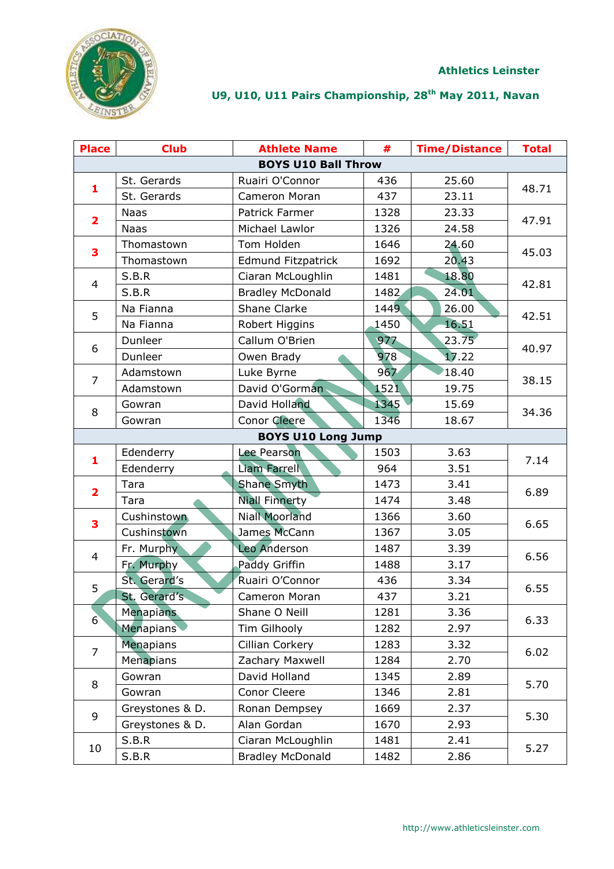

| <b>Place</b>            | <b>Club</b>               | <b>Athlete Name</b>        | #    | <b>Time/Distance</b> | <b>Total</b> |  |  |  |
|-------------------------|---------------------------|----------------------------|------|----------------------|--------------|--|--|--|
|                         |                           | <b>BOYS U10 Ball Throw</b> |      |                      |              |  |  |  |
| $\mathbf{1}$            | St. Gerards               | Ruairi O'Connor            | 436  | 25.60                |              |  |  |  |
|                         | St. Gerards               | Cameron Moran              | 437  | 23.11                | 48.71        |  |  |  |
|                         | <b>Naas</b>               | Patrick Farmer             | 1328 | 23.33                |              |  |  |  |
| $\overline{\mathbf{2}}$ | <b>Naas</b>               | Michael Lawlor             | 1326 | 24.58                | 47.91        |  |  |  |
| 3                       | Thomastown                | Tom Holden                 | 1646 | 24.60                | 45.03        |  |  |  |
|                         | Thomastown                | <b>Edmund Fitzpatrick</b>  | 1692 | 20.43                |              |  |  |  |
| $\overline{4}$          | S.B.R                     | Ciaran McLoughlin          | 1481 | 18.80                | 42.81        |  |  |  |
|                         | S.B.R                     | <b>Bradley McDonald</b>    | 1482 | 24.01                |              |  |  |  |
| 5                       | Na Fianna                 | Shane Clarke               | 1449 | 26.00                | 42.51        |  |  |  |
|                         | Na Fianna                 | Robert Higgins             | 1450 | 16.51                |              |  |  |  |
| 6                       | Dunleer                   | Callum O'Brien             | 977  | 23.75                | 40.97        |  |  |  |
|                         | Dunleer                   | Owen Brady                 | 978  | 17.22                |              |  |  |  |
| $\overline{7}$          | Adamstown                 | Luke Byrne                 | 967  | 18.40                |              |  |  |  |
|                         | Adamstown                 | David O'Gorman             | 1521 | 19.75                | 38.15        |  |  |  |
| 8                       | Gowran                    | David Holland              | 1345 | 15.69                |              |  |  |  |
|                         | Gowran                    | Conor Cleere               | 1346 | 18.67                | 34.36        |  |  |  |
|                         | <b>BOYS U10 Long Jump</b> |                            |      |                      |              |  |  |  |
| 1                       | Edenderry                 | Lee Pearson                | 1503 | 3.63                 | 7.14         |  |  |  |
|                         | Edenderry                 | <b>Liam Farrell</b>        | 964  | 3.51                 |              |  |  |  |
| $\overline{\mathbf{2}}$ | Tara                      | <b>Shane Smyth</b>         | 1473 | 3.41                 | 6.89         |  |  |  |
|                         | Tara                      | <b>Niall Finnerty</b>      | 1474 | 3.48                 |              |  |  |  |
| 3                       | Cushinstown               | <b>Niall Moorland</b>      | 1366 | 3.60                 | 6.65         |  |  |  |
|                         | Cushinstown               | James McCann               | 1367 | 3.05                 |              |  |  |  |
| $\overline{4}$          | Fr. Murphy                | <b>Leo Anderson</b>        | 1487 | 3.39                 | 6.56         |  |  |  |
|                         | Fr. Murphy                | Paddy Griffin              | 1488 | 3.17                 |              |  |  |  |
| 5                       | St. Gerard's              | Ruairi O'Connor            | 436  | 3.34                 | 6.55         |  |  |  |
|                         | St. Gerard's              | Cameron Moran              | 437  | 3.21                 |              |  |  |  |
| $6^{\circ}$             | <b>Menapians</b>          | Shane O Neill              | 1281 | 3.36                 | 6.33         |  |  |  |
|                         | <b>Menapians</b>          | Tim Gilhooly               | 1282 | 2.97                 |              |  |  |  |
| $\overline{7}$          | <b>Menapians</b>          | Cillian Corkery            | 1283 | 3.32                 | 6.02         |  |  |  |
|                         | Menapians                 | Zachary Maxwell            | 1284 | 2.70                 |              |  |  |  |
| 8                       | Gowran                    | David Holland              | 1345 | 2.89                 | 5.70         |  |  |  |
|                         | Gowran                    | Conor Cleere               | 1346 | 2.81                 |              |  |  |  |
| 9                       | Greystones & D.           | Ronan Dempsey              | 1669 | 2.37                 | 5.30         |  |  |  |
|                         | Greystones & D.           | Alan Gordan                | 1670 | 2.93                 |              |  |  |  |
| 10                      | S.B.R                     | Ciaran McLoughlin          | 1481 | 2.41                 |              |  |  |  |
|                         | S.B.R                     | <b>Bradley McDonald</b>    | 1482 | 2.86                 | 5.27         |  |  |  |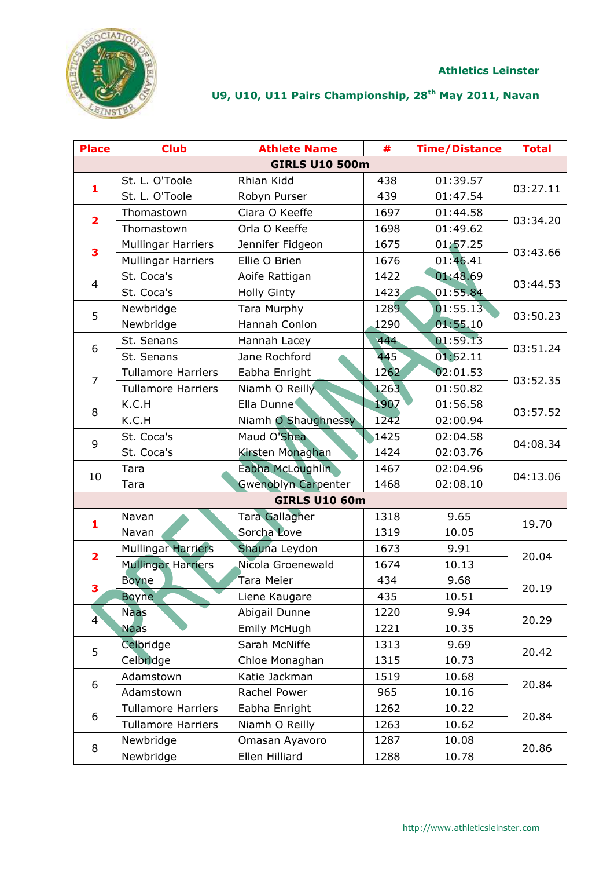

| <b>Place</b>            | <b>Club</b>               | <b>Athlete Name</b>        | #    | <b>Time/Distance</b> | <b>Total</b> |  |  |  |
|-------------------------|---------------------------|----------------------------|------|----------------------|--------------|--|--|--|
|                         | <b>GIRLS U10 500m</b>     |                            |      |                      |              |  |  |  |
|                         | St. L. O'Toole            | Rhian Kidd                 | 438  | 01:39.57             |              |  |  |  |
| 1                       | St. L. O'Toole            | Robyn Purser               | 439  | 01:47.54             | 03:27.11     |  |  |  |
|                         | Thomastown                | Ciara O Keeffe             | 1697 | 01:44.58             |              |  |  |  |
| $\overline{\mathbf{2}}$ | Thomastown                | Orla O Keeffe              | 1698 | 01:49.62             | 03:34.20     |  |  |  |
|                         | <b>Mullingar Harriers</b> | Jennifer Fidgeon           | 1675 | 01:57.25             |              |  |  |  |
| 3                       | <b>Mullingar Harriers</b> | Ellie O Brien              | 1676 | 01:46.41             | 03:43.66     |  |  |  |
| $\overline{4}$          | St. Coca's                | Aoife Rattigan             | 1422 | 01:48.69             | 03:44.53     |  |  |  |
|                         | St. Coca's                | <b>Holly Ginty</b>         | 1423 | 01:55.84             |              |  |  |  |
| 5                       | Newbridge                 | Tara Murphy                | 1289 | 01:55.13             | 03:50.23     |  |  |  |
|                         | Newbridge                 | Hannah Conlon              | 1290 | 01:55.10             |              |  |  |  |
| 6                       | St. Senans                | Hannah Lacey               | 444  | 01:59.13             | 03:51.24     |  |  |  |
|                         | St. Senans                | Jane Rochford              | 445  | 01:52.11             |              |  |  |  |
| $\overline{7}$          | <b>Tullamore Harriers</b> | Eabha Enright              | 1262 | 02:01.53             | 03:52.35     |  |  |  |
|                         | <b>Tullamore Harriers</b> | Niamh O Reilly             | 1263 | 01:50.82             |              |  |  |  |
| 8                       | K.C.H                     | Ella Dunne                 | 1907 | 01:56.58             | 03:57.52     |  |  |  |
|                         | K.C.H                     | Niamh O Shaughnessy        | 1242 | 02:00.94             |              |  |  |  |
| 9                       | St. Coca's                | Maud O'Shea                | 1425 | 02:04.58             | 04:08.34     |  |  |  |
|                         | St. Coca's                | Kirsten Monaghan           | 1424 | 02:03.76             |              |  |  |  |
| 10                      | Tara                      | Eabha McLoughlin           | 1467 | 02:04.96             | 04:13.06     |  |  |  |
|                         | Tara                      | <b>Gwenoblyn Carpenter</b> | 1468 | 02:08.10             |              |  |  |  |
|                         |                           | <b>GIRLS U10 60m</b>       |      |                      |              |  |  |  |
| 1                       | Navan                     | <b>Tara Gallagher</b>      | 1318 | 9.65                 | 19.70        |  |  |  |
|                         | Navan                     | Sorcha Love                | 1319 | 10.05                |              |  |  |  |
| $\overline{\mathbf{2}}$ | <b>Mullingar Harriers</b> | Shauna Leydon              | 1673 | 9.91                 | 20.04        |  |  |  |
|                         | <b>Mullingar Harriers</b> | Nicola Groenewald          | 1674 | 10.13                |              |  |  |  |
| 3                       | <b>Boyne</b>              | Tara Meier                 | 434  | 9.68                 | 20.19        |  |  |  |
|                         | <b>Boyne</b>              | Liene Kaugare              | 435  | 10.51                |              |  |  |  |
| $\overline{4}$          | <b>Naas</b>               | Abigail Dunne              | 1220 | 9.94                 | 20.29        |  |  |  |
|                         | <b>Naas</b>               | Emily McHugh               | 1221 | 10.35                |              |  |  |  |
| 5                       | Celbridge                 | Sarah McNiffe              | 1313 | 9.69                 | 20.42        |  |  |  |
|                         | Celbridge                 | Chloe Monaghan             | 1315 | 10.73                |              |  |  |  |
| 6                       | Adamstown                 | Katie Jackman              | 1519 | 10.68                | 20.84        |  |  |  |
|                         | Adamstown                 | Rachel Power               | 965  | 10.16                |              |  |  |  |
| 6                       | <b>Tullamore Harriers</b> | Eabha Enright              | 1262 | 10.22                | 20.84        |  |  |  |
|                         | <b>Tullamore Harriers</b> | Niamh O Reilly             | 1263 | 10.62                |              |  |  |  |
| 8                       | Newbridge                 | Omasan Ayavoro             | 1287 | 10.08                |              |  |  |  |
|                         | Newbridge                 | Ellen Hilliard             | 1288 | 10.78                | 20.86        |  |  |  |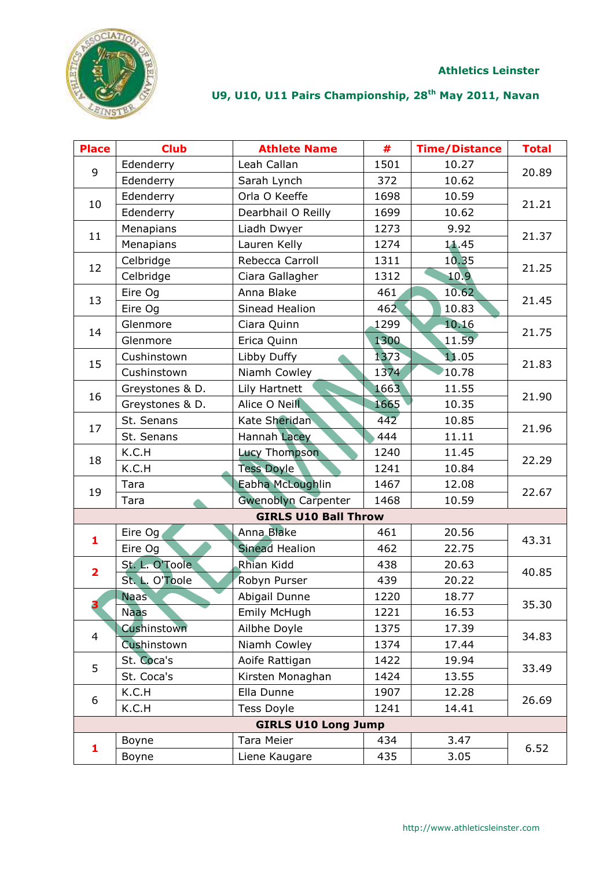



| <b>Place</b>            | <b>Club</b>     | <b>Athlete Name</b>         | #    | <b>Time/Distance</b> | <b>Total</b> |
|-------------------------|-----------------|-----------------------------|------|----------------------|--------------|
| 9                       | Edenderry       | Leah Callan                 | 1501 | 10.27                | 20.89        |
|                         | Edenderry       | Sarah Lynch                 | 372  | 10.62                |              |
| 10                      | Edenderry       | Orla O Keeffe               | 1698 | 10.59                | 21.21        |
|                         | Edenderry       | Dearbhail O Reilly          | 1699 | 10.62                |              |
| 11                      | Menapians       | Liadh Dwyer                 | 1273 | 9.92                 | 21.37        |
|                         | Menapians       | Lauren Kelly                | 1274 | 11.45                |              |
| 12                      | Celbridge       | Rebecca Carroll             | 1311 | 10.35                | 21.25        |
|                         | Celbridge       | Ciara Gallagher             | 1312 | 10.9                 |              |
|                         | Eire Og         | Anna Blake                  | 461  | 10.62                |              |
| 13                      | Eire Og         | Sinead Healion              | 462  | 10.83                | 21.45        |
| 14                      | Glenmore        | Ciara Quinn                 | 1299 | 10.16                |              |
|                         | Glenmore        | Erica Quinn                 | 1300 | 11.59                | 21.75        |
| 15                      | Cushinstown     | Libby Duffy                 | 1373 | 11.05                | 21.83        |
|                         | Cushinstown     | Niamh Cowley                | 1374 | 10.78                |              |
| 16                      | Greystones & D. | Lily Hartnett               | 1663 | 11.55                | 21.90        |
|                         | Greystones & D. | Alice O Neill               | 1665 | 10.35                |              |
| 17                      | St. Senans      | Kate Sheridan               | 442  | 10.85                | 21.96        |
|                         | St. Senans      | <b>Hannah Lacey</b>         | 444  | 11.11                |              |
| 18                      | K.C.H           | Lucy Thompson               | 1240 | 11.45                | 22.29        |
|                         | K.C.H           | <b>Tess Doyle</b>           | 1241 | 10.84                |              |
| 19                      | Tara            | Eabha McLoughlin            | 1467 | 12.08                | 22.67        |
|                         | Tara            | <b>Gwenoblyn Carpenter</b>  | 1468 | 10.59                |              |
|                         |                 | <b>GIRLS U10 Ball Throw</b> |      |                      |              |
| 1                       | Eire Og         | Anna Blake                  | 461  | 20.56                | 43.31        |
|                         | Eire Og         | <b>Sinead Healion</b>       | 462  | 22.75                |              |
| $\overline{\mathbf{2}}$ | St. L. O'Toole  | <b>Rhian Kidd</b>           | 438  | 20.63                | 40.85        |
|                         | St. L. O'Toole  | Robyn Purser                | 439  | 20.22                |              |
|                         | <b>Naas</b>     | Abigail Dunne               | 1220 | 18.77                | 35.30        |
| 3                       | <b>Naas</b>     | Emily McHugh                | 1221 | 16.53                |              |
| $\overline{4}$          | Cushinstown     | Ailbhe Doyle                | 1375 | 17.39                | 34.83        |
|                         | Cushinstown     | Niamh Cowley                | 1374 | 17.44                |              |
| 5                       | St. Coca's      | Aoife Rattigan              | 1422 | 19.94                | 33.49        |
|                         | St. Coca's      | Kirsten Monaghan            | 1424 | 13.55                |              |
| 6                       | K.C.H           | Ella Dunne                  | 1907 | 12.28                | 26.69        |
|                         | K.C.H           | <b>Tess Doyle</b>           | 1241 | 14.41                |              |
|                         |                 | <b>GIRLS U10 Long Jump</b>  |      |                      |              |
| 1                       | Boyne           | Tara Meier                  | 434  | 3.47                 | 6.52         |
|                         | Boyne           | Liene Kaugare               | 435  | 3.05                 |              |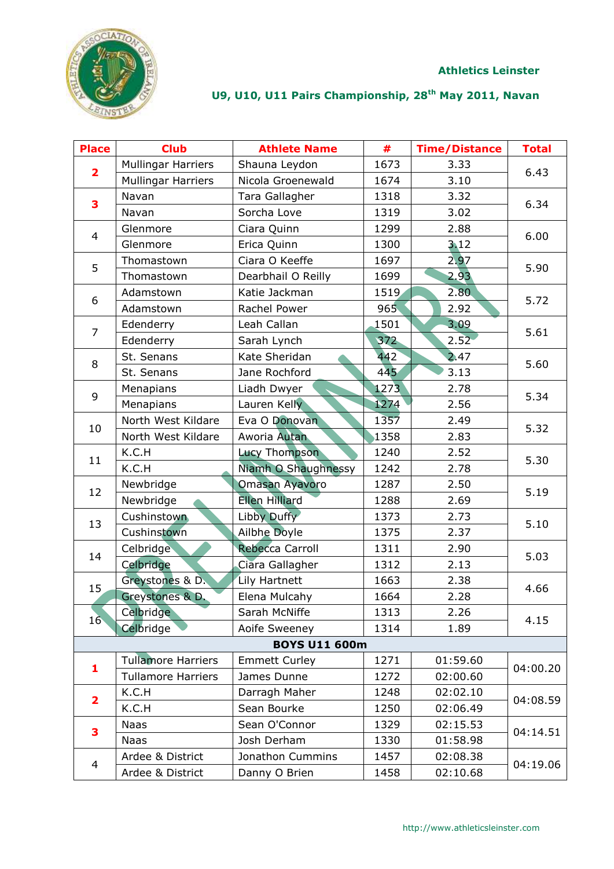**Athletics Leinster**



| <b>Place</b>            | <b>Club</b>               | <b>Athlete Name</b>   | #    | <b>Time/Distance</b> | <b>Total</b> |
|-------------------------|---------------------------|-----------------------|------|----------------------|--------------|
| $\overline{\mathbf{2}}$ | <b>Mullingar Harriers</b> | Shauna Leydon         | 1673 | 3.33                 | 6.43         |
|                         | <b>Mullingar Harriers</b> | Nicola Groenewald     | 1674 | 3.10                 |              |
| 3                       | Navan                     | Tara Gallagher        | 1318 | 3.32                 | 6.34         |
|                         | Navan                     | Sorcha Love           | 1319 | 3.02                 |              |
| $\overline{4}$          | Glenmore                  | Ciara Quinn           | 1299 | 2.88                 | 6.00         |
|                         | Glenmore                  | Erica Quinn           | 1300 | 3.12                 |              |
| 5                       | Thomastown                | Ciara O Keeffe        | 1697 | 2.97                 | 5.90         |
|                         | Thomastown                | Dearbhail O Reilly    | 1699 | 2.93                 |              |
| 6                       | Adamstown                 | Katie Jackman         | 1519 | 2.80                 |              |
|                         | Adamstown                 | Rachel Power          | 965  | 2.92                 | 5.72         |
| $\overline{7}$          | Edenderry                 | Leah Callan           | 1501 | 3.09                 | 5.61         |
|                         | Edenderry                 | Sarah Lynch           | 372  | 2.52                 |              |
|                         | St. Senans                | Kate Sheridan         | 442  | 2.47                 |              |
| 8                       | St. Senans                | Jane Rochford         | 445  | 3.13                 | 5.60         |
|                         | Menapians                 | Liadh Dwyer           | 1273 | 2.78                 |              |
| 9                       | Menapians                 | Lauren Kelly          | 1274 | 2.56                 | 5.34         |
|                         | North West Kildare        | Eva O Donovan         | 1357 | 2.49                 |              |
| 10                      | North West Kildare        | Aworia Autan          | 1358 | 2.83                 | 5.32         |
|                         | K.C.H                     | Lucy Thompson         | 1240 | 2.52                 | 5.30         |
| 11                      | K.C.H                     | Niamh O Shaughnessy   | 1242 | 2.78                 |              |
|                         | Newbridge                 | <b>Omasan Ayavoro</b> | 1287 | 2.50                 |              |
| 12                      | Newbridge                 | <b>Ellen Hilliard</b> | 1288 | 2.69                 | 5.19         |
|                         | Cushinstown               | Libby Duffy           | 1373 | 2.73                 |              |
| 13                      | Cushinstown               | <b>Ailbhe Doyle</b>   | 1375 | 2.37                 | 5.10         |
| 14                      | Celbridge                 | Rebecca Carroll       | 1311 | 2.90                 | 5.03         |
|                         | Celbridge                 | Ciara Gallagher       | 1312 | 2.13                 |              |
| 15                      | Greystones & D.           | Lily Hartnett         | 1663 | 2.38                 | 4.66         |
|                         | Greystones & D.           | Elena Mulcahy         | 1664 | 2.28                 |              |
| 16 <sup>°</sup>         | Celbridge                 | Sarah McNiffe         | 1313 | 2.26                 |              |
|                         | Celbridge                 | Aoife Sweeney         | 1314 | 1.89                 | 4.15         |
|                         |                           | <b>BOYS U11 600m</b>  |      |                      |              |
| 1                       | <b>Tullamore Harriers</b> | <b>Emmett Curley</b>  | 1271 | 01:59.60             | 04:00.20     |
|                         | <b>Tullamore Harriers</b> | James Dunne           | 1272 | 02:00.60             |              |
|                         | K.C.H                     | Darragh Maher         | 1248 | 02:02.10             |              |
| $\overline{\mathbf{2}}$ | K.C.H                     | Sean Bourke           | 1250 | 02:06.49             | 04:08.59     |
|                         | Naas                      | Sean O'Connor         | 1329 | 02:15.53             |              |
| 3                       | Naas                      | Josh Derham           | 1330 | 01:58.98             | 04:14.51     |
|                         | Ardee & District          | Jonathon Cummins      | 1457 | 02:08.38             |              |
| 4                       | Ardee & District          | Danny O Brien         | 1458 | 02:10.68             | 04:19.06     |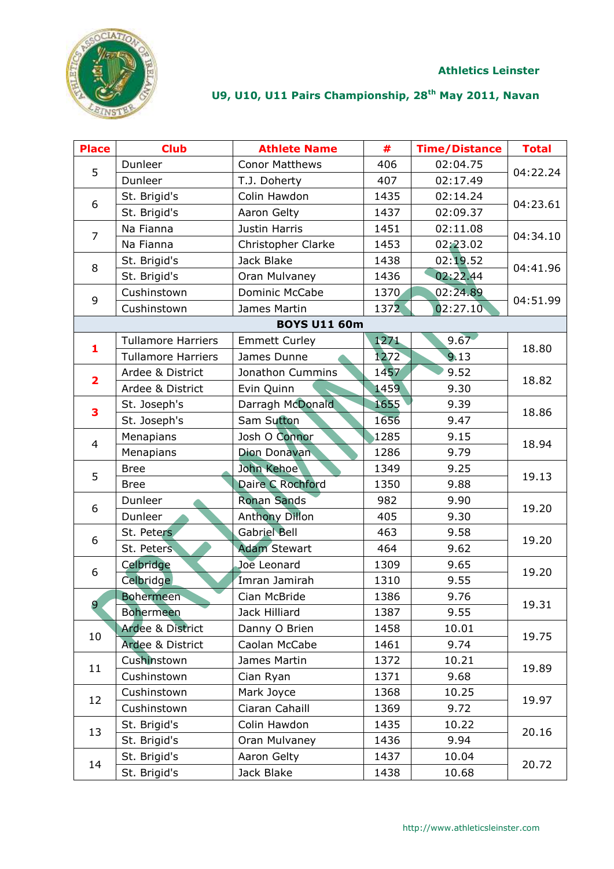



| <b>Place</b>            | <b>Club</b>                 | <b>Athlete Name</b>   | #    | <b>Time/Distance</b> | <b>Total</b> |
|-------------------------|-----------------------------|-----------------------|------|----------------------|--------------|
| 5                       | Dunleer                     | <b>Conor Matthews</b> | 406  | 02:04.75             | 04:22.24     |
|                         | Dunleer                     | T.J. Doherty          | 407  | 02:17.49             |              |
|                         | St. Brigid's                | Colin Hawdon          | 1435 | 02:14.24             |              |
| 6                       | St. Brigid's                | Aaron Gelty           | 1437 | 02:09.37             | 04:23.61     |
| $\overline{7}$          | Na Fianna                   | Justin Harris         | 1451 | 02:11.08             | 04:34.10     |
|                         | Na Fianna                   | Christopher Clarke    | 1453 | 02:23.02             |              |
| 8                       | St. Brigid's                | Jack Blake            | 1438 | 02:19.52             |              |
|                         | St. Brigid's                | Oran Mulvaney         | 1436 | 02:22.44             | 04:41.96     |
| 9                       | Cushinstown                 | Dominic McCabe        | 1370 | 02:24.89             |              |
|                         | Cushinstown                 | James Martin          | 1372 | 02:27.10             | 04:51.99     |
|                         |                             | <b>BOYS U11 60m</b>   |      |                      |              |
| $\mathbf{1}$            | <b>Tullamore Harriers</b>   | <b>Emmett Curley</b>  | 1271 | 9.67                 | 18.80        |
|                         | <b>Tullamore Harriers</b>   | James Dunne           | 1272 | 9.13                 |              |
| $\overline{\mathbf{2}}$ | Ardee & District            | Jonathon Cummins      | 1457 | 9.52                 | 18.82        |
|                         | Ardee & District            | Evin Quinn            | 1459 | 9.30                 |              |
| 3                       | St. Joseph's                | Darragh McDonald      | 1655 | 9.39                 |              |
|                         | St. Joseph's                | Sam Sutton            | 1656 | 9.47                 | 18.86        |
| $\overline{4}$          | Menapians                   | Josh O Connor         | 1285 | 9.15                 | 18.94        |
|                         | Menapians                   | Dion Donavan          | 1286 | 9.79                 |              |
| 5                       | <b>Bree</b>                 | John Kehoe            | 1349 | 9.25                 | 19.13        |
|                         | <b>Bree</b>                 | Daire C Rochford      | 1350 | 9.88                 |              |
| 6                       | Dunleer                     | <b>Ronan Sands</b>    | 982  | 9.90                 |              |
|                         | Dunleer                     | <b>Anthony Dillon</b> | 405  | 9.30                 | 19.20        |
| 6                       | St. Peters                  | <b>Gabriel Bell</b>   | 463  | 9.58                 | 19.20        |
|                         | St. Peters                  | <b>Adam Stewart</b>   | 464  | 9.62                 |              |
| 6                       | Celbridge                   | Joe Leonard           | 1309 | 9.65                 | 19.20        |
|                         | <b>Celbridge</b>            | Imran Jamirah         | 1310 | 9.55                 |              |
|                         | <b>Bohermeen</b>            | Cian McBride          | 1386 | 9.76                 |              |
| 9                       | <b>Bohermeen</b>            | Jack Hilliard         | 1387 | 9.55                 | 19.31        |
| 10                      | <b>Ardee &amp; District</b> | Danny O Brien         | 1458 | 10.01                | 19.75        |
|                         | <b>Ardee &amp; District</b> | Caolan McCabe         | 1461 | 9.74                 |              |
| 11                      | Cushinstown                 | James Martin          | 1372 | 10.21                | 19.89        |
|                         | Cushinstown                 | Cian Ryan             | 1371 | 9.68                 |              |
| 12                      | Cushinstown                 | Mark Joyce            | 1368 | 10.25                | 19.97        |
|                         | Cushinstown                 | Ciaran Cahaill        | 1369 | 9.72                 |              |
| 13                      | St. Brigid's                | Colin Hawdon          | 1435 | 10.22                | 20.16        |
|                         | St. Brigid's                | Oran Mulvaney         | 1436 | 9.94                 |              |
| 14                      | St. Brigid's                | Aaron Gelty           | 1437 | 10.04                |              |
|                         | St. Brigid's                | Jack Blake            | 1438 | 10.68                | 20.72        |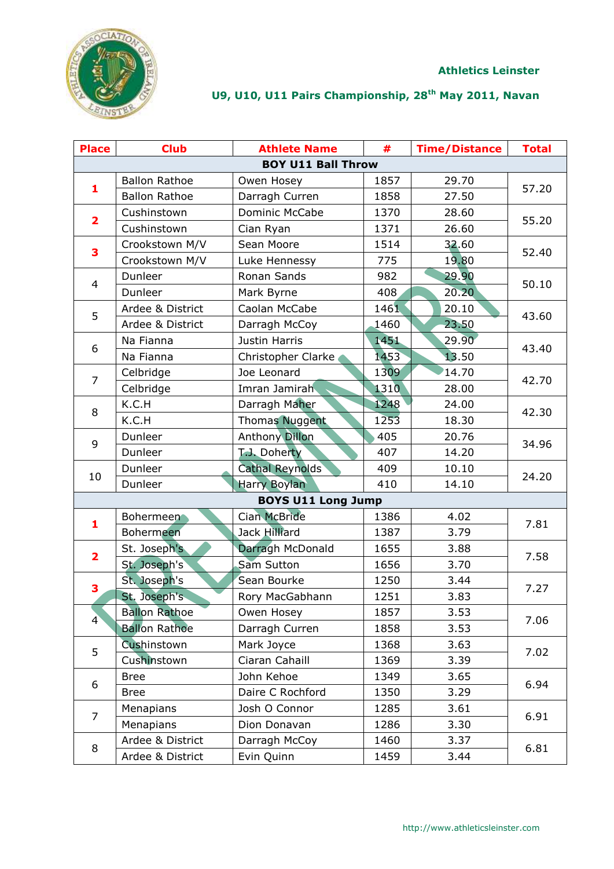

| <b>Place</b>            | <b>Club</b>          | <b>Athlete Name</b>       | #    | <b>Time/Distance</b> | <b>Total</b> |
|-------------------------|----------------------|---------------------------|------|----------------------|--------------|
|                         |                      | <b>BOY U11 Ball Throw</b> |      |                      |              |
|                         | <b>Ballon Rathoe</b> | Owen Hosey                | 1857 | 29.70                |              |
| 1                       | <b>Ballon Rathoe</b> | Darragh Curren            | 1858 | 27.50                | 57.20        |
|                         | Cushinstown          | <b>Dominic McCabe</b>     | 1370 | 28.60                |              |
| $\overline{\mathbf{2}}$ | Cushinstown          | Cian Ryan                 | 1371 | 26.60                | 55.20        |
| 3                       | Crookstown M/V       | Sean Moore                | 1514 | 32.60                | 52.40        |
|                         | Crookstown M/V       | Luke Hennessy             | 775  | 19.80                |              |
| $\overline{4}$          | Dunleer              | Ronan Sands               | 982  | 29.90                | 50.10        |
|                         | Dunleer              | Mark Byrne                | 408  | 20.20                |              |
| 5                       | Ardee & District     | Caolan McCabe             | 1461 | 20.10                |              |
|                         | Ardee & District     | Darragh McCoy             | 1460 | 23.50                | 43.60        |
|                         | Na Fianna            | Justin Harris             | 1451 | 29.90                |              |
| 6                       | Na Fianna            | Christopher Clarke        | 1453 | 13.50                | 43.40        |
| $\overline{7}$          | Celbridge            | Joe Leonard               | 1309 | 14.70                |              |
|                         | Celbridge            | Imran Jamirah             | 1310 | 28.00                | 42.70        |
| 8                       | K.C.H                | Darragh Maher             | 1248 | 24.00                | 42.30        |
|                         | K.C.H                | <b>Thomas Nuggent</b>     | 1253 | 18.30                |              |
|                         | Dunleer              | <b>Anthony Dillon</b>     | 405  | 20.76                | 34.96        |
| 9                       | Dunleer              | T.J. Doherty              | 407  | 14.20                |              |
| 10                      | Dunleer              | <b>Cathal Reynolds</b>    | 409  | 10.10                | 24.20        |
|                         | Dunleer              | <b>Harry Boylan</b>       | 410  | 14.10                |              |
|                         |                      | <b>BOYS U11 Long Jump</b> |      |                      |              |
| 1                       | <b>Bohermeen</b>     | <b>Cian McBride</b>       | 1386 | 4.02                 | 7.81         |
|                         | Bohermeen            | Jack Hilliard             | 1387 | 3.79                 |              |
| $\overline{\mathbf{2}}$ | St. Joseph's         | Darragh McDonald          | 1655 | 3.88                 | 7.58         |
|                         | St. Joseph's         | Sam Sutton                | 1656 | 3.70                 |              |
| 3                       | St. Joseph's         | Sean Bourke               | 1250 | 3.44                 | 7.27         |
|                         | St. Joseph's         | Rory MacGabhann           | 1251 | 3.83                 |              |
| $\overline{4}$          | <b>Ballon Rathoe</b> | Owen Hosey                | 1857 | 3.53                 | 7.06         |
|                         | <b>Ballon Rathoe</b> | Darragh Curren            | 1858 | 3.53                 |              |
| 5                       | Cushinstown          | Mark Joyce                | 1368 | 3.63                 | 7.02         |
|                         | Cushinstown          | Ciaran Cahaill            | 1369 | 3.39                 |              |
|                         | <b>Bree</b>          | John Kehoe                | 1349 | 3.65                 | 6.94         |
| 6                       | <b>Bree</b>          | Daire C Rochford          | 1350 | 3.29                 |              |
| $\overline{7}$          | Menapians            | Josh O Connor             | 1285 | 3.61                 |              |
|                         | Menapians            | Dion Donavan              | 1286 | 3.30                 | 6.91         |
|                         | Ardee & District     | Darragh McCoy             | 1460 | 3.37                 |              |
| 8                       | Ardee & District     | Evin Quinn                | 1459 | 3.44                 | 6.81         |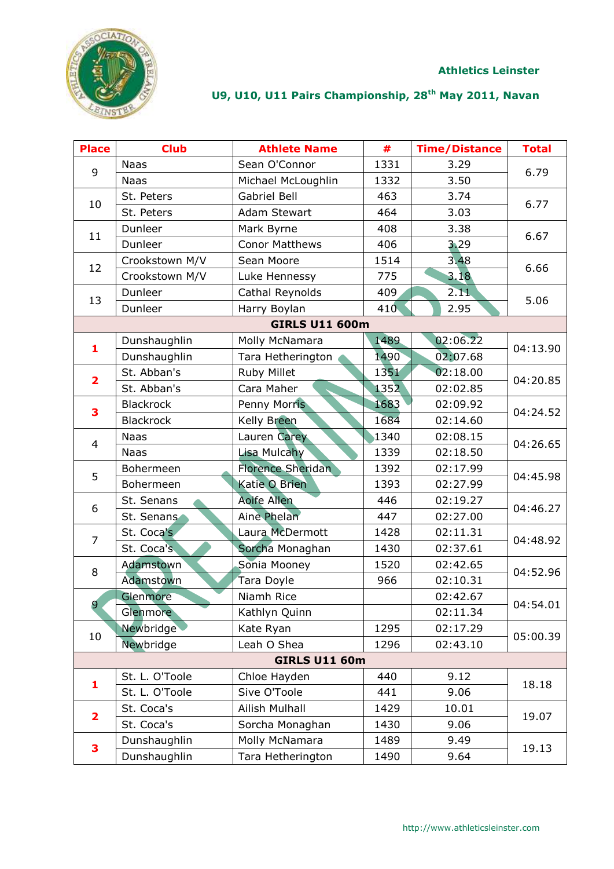

| <b>Place</b>            | <b>Club</b>      | <b>Athlete Name</b>      | #    | <b>Time/Distance</b> | <b>Total</b> |
|-------------------------|------------------|--------------------------|------|----------------------|--------------|
| 9                       | <b>Naas</b>      | Sean O'Connor            | 1331 | 3.29                 | 6.79         |
|                         | <b>Naas</b>      | Michael McLoughlin       | 1332 | 3.50                 |              |
|                         | St. Peters       | Gabriel Bell             | 463  | 3.74                 |              |
| 10                      | St. Peters       | <b>Adam Stewart</b>      | 464  | 3.03                 | 6.77         |
| 11                      | Dunleer          | Mark Byrne               | 408  | 3.38                 | 6.67         |
|                         | Dunleer          | <b>Conor Matthews</b>    | 406  | 3.29                 |              |
| 12                      | Crookstown M/V   | Sean Moore               | 1514 | 3.48                 | 6.66         |
|                         | Crookstown M/V   | Luke Hennessy            | 775  | 3.18                 |              |
| 13                      | Dunleer          | Cathal Reynolds          | 409  | 2.11                 | 5.06         |
|                         | Dunleer          | Harry Boylan             | 410  | 2.95                 |              |
|                         |                  | <b>GIRLS U11 600m</b>    |      |                      |              |
| $\mathbf{1}$            | Dunshaughlin     | Molly McNamara           | 1489 | 02:06.22             | 04:13.90     |
|                         | Dunshaughlin     | Tara Hetherington        | 1490 | 02:07.68             |              |
| $\overline{\mathbf{2}}$ | St. Abban's      | Ruby Millet              | 1351 | 02:18.00             | 04:20.85     |
|                         | St. Abban's      | Cara Maher               | 1352 | 02:02.85             |              |
| 3                       | <b>Blackrock</b> | <b>Penny Morris</b>      | 1683 | 02:09.92             | 04:24.52     |
|                         | <b>Blackrock</b> | <b>Kelly Breen</b>       | 1684 | 02:14.60             |              |
| $\overline{4}$          | <b>Naas</b>      | Lauren Carey             | 1340 | 02:08.15             | 04:26.65     |
|                         | <b>Naas</b>      | Lisa Mulcahy             | 1339 | 02:18.50             |              |
| 5                       | Bohermeen        | <b>Florence Sheridan</b> | 1392 | 02:17.99             | 04:45.98     |
|                         | Bohermeen        | Katie O Brien            | 1393 | 02:27.99             |              |
| 6                       | St. Senans       | <b>Aoife Allen</b>       | 446  | 02:19.27             | 04:46.27     |
|                         | St. Senans       | <b>Aine Phelan</b>       | 447  | 02:27.00             |              |
| $\overline{7}$          | St. Coca's       | Laura McDermott          | 1428 | 02:11.31             | 04:48.92     |
|                         | St. Coca's       | Sorcha Monaghan          | 1430 | 02:37.61             |              |
| 8                       | <b>Adamstown</b> | Sonia Mooney             | 1520 | 02:42.65             | 04:52.96     |
|                         | Adamstown        | Tara Doyle               | 966  | 02:10.31             |              |
| 9                       | Glenmore         | Niamh Rice               |      | 02:42.67             | 04:54.01     |
|                         | Glenmore         | Kathlyn Quinn            |      | 02:11.34             |              |
| 10                      | Newbridge        | Kate Ryan                | 1295 | 02:17.29             | 05:00.39     |
|                         | Newbridge        | Leah O Shea              | 1296 | 02:43.10             |              |
|                         |                  | <b>GIRLS U11 60m</b>     |      |                      |              |
| 1                       | St. L. O'Toole   | Chloe Hayden             | 440  | 9.12                 | 18.18        |
|                         | St. L. O'Toole   | Sive O'Toole             | 441  | 9.06                 |              |
| $\overline{\mathbf{2}}$ | St. Coca's       | <b>Ailish Mulhall</b>    | 1429 | 10.01                | 19.07        |
|                         | St. Coca's       | Sorcha Monaghan          | 1430 | 9.06                 |              |
| 3                       | Dunshaughlin     | Molly McNamara           | 1489 | 9.49                 |              |
|                         | Dunshaughlin     | Tara Hetherington        | 1490 | 9.64                 | 19.13        |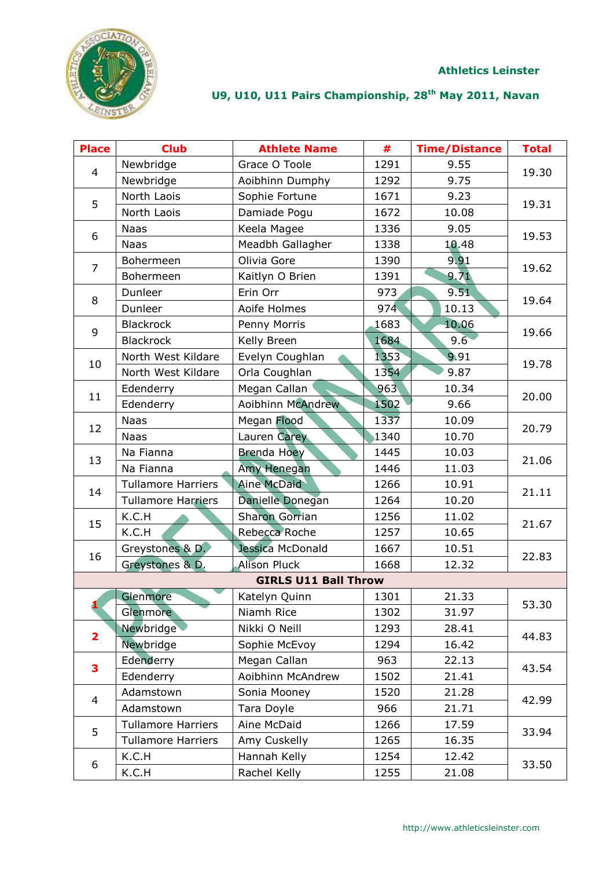**Athletics Leinster**



| <b>Place</b>            | <b>Club</b>               | <b>Athlete Name</b>         | #    | <b>Time/Distance</b> | <b>Total</b> |
|-------------------------|---------------------------|-----------------------------|------|----------------------|--------------|
| $\overline{4}$          | Newbridge                 | Grace O Toole               | 1291 | 9.55                 |              |
|                         | Newbridge                 | Aoibhinn Dumphy             | 1292 | 9.75                 | 19.30        |
|                         | North Laois               | Sophie Fortune              | 1671 | 9.23                 |              |
| 5                       | North Laois               | Damiade Pogu                | 1672 | 10.08                | 19.31        |
| 6                       | <b>Naas</b>               | Keela Magee                 | 1336 | 9.05                 |              |
|                         | <b>Naas</b>               | Meadbh Gallagher            | 1338 | 10.48                | 19.53        |
| 7                       | Bohermeen                 | Olivia Gore                 | 1390 | 9.91                 |              |
|                         | Bohermeen                 | Kaitlyn O Brien             | 1391 | 9.71                 | 19.62        |
|                         | Dunleer                   | Erin Orr                    | 973  | 9.51                 |              |
| 8                       | Dunleer                   | Aoife Holmes                | 974  | 10.13                | 19.64        |
| 9                       | <b>Blackrock</b>          | Penny Morris                | 1683 | 10.06                |              |
|                         | <b>Blackrock</b>          | Kelly Breen                 | 1684 | 9.6                  | 19.66        |
|                         | North West Kildare        | Evelyn Coughlan             | 1353 | 9.91                 |              |
| 10                      | North West Kildare        | Orla Coughlan               | 1354 | 9.87                 | 19.78        |
|                         | Edenderry                 | Megan Callan                | 963  | 10.34                |              |
| 11                      | Edenderry                 | Aoibhinn McAndrew           | 1502 | 9.66                 | 20.00        |
| 12                      | <b>Naas</b>               | Megan Flood                 | 1337 | 10.09                |              |
|                         | <b>Naas</b>               | Lauren Carey                | 1340 | 10.70                | 20.79        |
| 13                      | Na Fianna                 | <b>Brenda Hoey</b>          | 1445 | 10.03                | 21.06        |
|                         | Na Fianna                 | Amy Henegan                 | 1446 | 11.03                |              |
| 14                      | <b>Tullamore Harriers</b> | <b>Aine McDaid</b>          | 1266 | 10.91                | 21.11        |
|                         | <b>Tullamore Harriers</b> | Danielle Donegan            | 1264 | 10.20                |              |
| 15                      | K.C.H                     | <b>Sharon Gorrian</b>       | 1256 | 11.02                | 21.67        |
|                         | K.C.H                     | Rebecca Roche               | 1257 | 10.65                |              |
| 16                      | Greystones & D.           | Jessica McDonald            | 1667 | 10.51                | 22.83        |
|                         | Greystones & D.           | <b>Alison Pluck</b>         | 1668 | 12.32                |              |
|                         |                           | <b>GIRLS U11 Ball Throw</b> |      |                      |              |
|                         | Glenmore                  | Katelyn Quinn               | 1301 | 21.33                | 53.30        |
| ı                       | Glenmore                  | Niamh Rice                  | 1302 | 31.97                |              |
| $\overline{\mathbf{2}}$ | Newbridge                 | Nikki O Neill               | 1293 | 28.41                | 44.83        |
|                         | Newbridge                 | Sophie McEvoy               | 1294 | 16.42                |              |
| 3                       | Edenderry                 | Megan Callan                | 963  | 22.13                | 43.54        |
|                         | Edenderry                 | Aoibhinn McAndrew           | 1502 | 21.41                |              |
| $\overline{4}$          | Adamstown                 | Sonia Mooney                | 1520 | 21.28                | 42.99        |
|                         | Adamstown                 | Tara Doyle                  | 966  | 21.71                |              |
| 5                       | <b>Tullamore Harriers</b> | Aine McDaid                 | 1266 | 17.59                | 33.94        |
|                         | <b>Tullamore Harriers</b> | Amy Cuskelly                | 1265 | 16.35                |              |
|                         | K.C.H                     | Hannah Kelly                | 1254 | 12.42                |              |
| 6                       | K.C.H                     | Rachel Kelly                | 1255 | 21.08                | 33.50        |